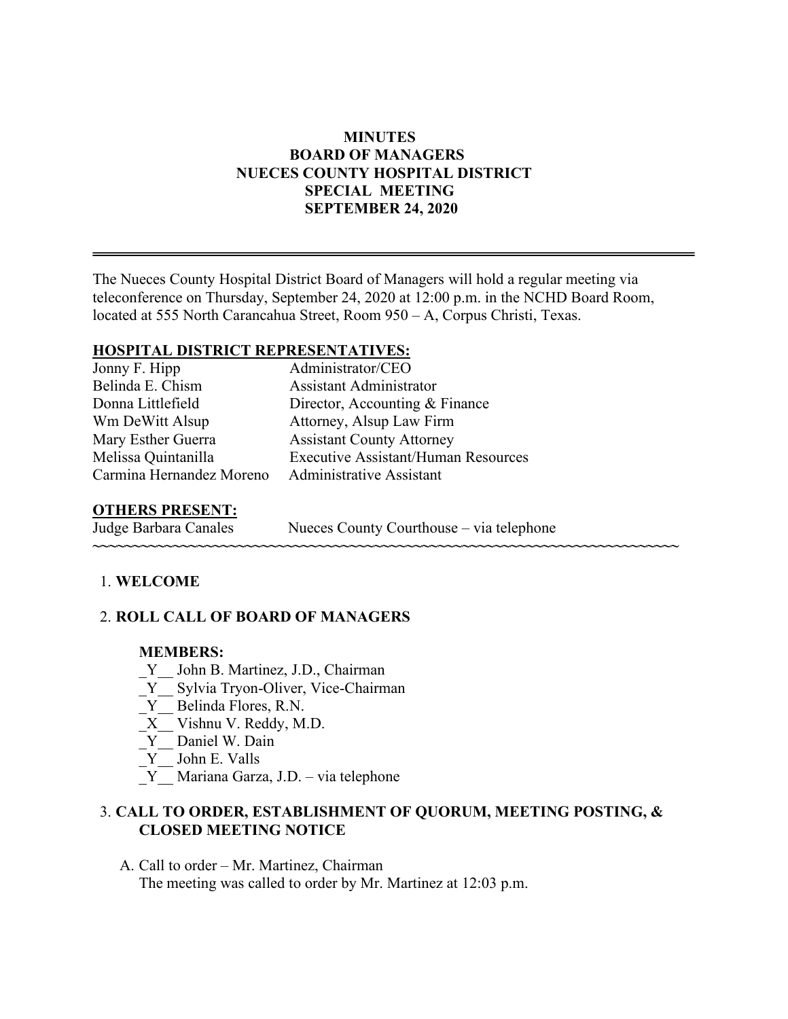## **MINUTES BOARD OF MANAGERS NUECES COUNTY HOSPITAL DISTRICT SPECIAL MEETING SEPTEMBER 24, 2020**

The Nueces County Hospital District Board of Managers will hold a regular meeting via teleconference on Thursday, September 24, 2020 at 12:00 p.m. in the NCHD Board Room, located at 555 North Carancahua Street, Room 950 – A, Corpus Christi, Texas.

## **HOSPITAL DISTRICT REPRESENTATIVES:**

Jonny F. Hipp Administrator/CEO Belinda E. Chism Assistant Administrator Wm DeWitt Alsup **Attorney**, Alsup Law Firm Mary Esther Guerra **Assistant County Attorney** Carmina Hernandez Moreno Administrative Assistant

Donna Littlefield Director, Accounting & Finance Melissa Quintanilla Executive Assistant/Human Resources

# **OTHERS PRESENT:**

Nueces County Courthouse – via telephone

**~~~~~~~~~~~~~~~~~~~~~~~~~~~~~~~~~~~~~~~~~~~~~~~~~~~~~~~~~~~~~~~~~~~~~~~~~**

## 1. **WELCOME**

## 2. **ROLL CALL OF BOARD OF MANAGERS**

#### **MEMBERS:**

- Y John B. Martinez, J.D., Chairman
- Y Sylvia Tryon-Oliver, Vice-Chairman
- \_Y\_\_ Belinda Flores, R.N.
- \_X\_\_ Vishnu V. Reddy, M.D.
- Y Daniel W. Dain
- $Y$  John E. Valls
- \_Y\_\_ Mariana Garza, J.D. via telephone

## 3. **CALL TO ORDER, ESTABLISHMENT OF QUORUM, MEETING POSTING, & CLOSED MEETING NOTICE**

A. Call to order – Mr. Martinez, Chairman The meeting was called to order by Mr. Martinez at 12:03 p.m.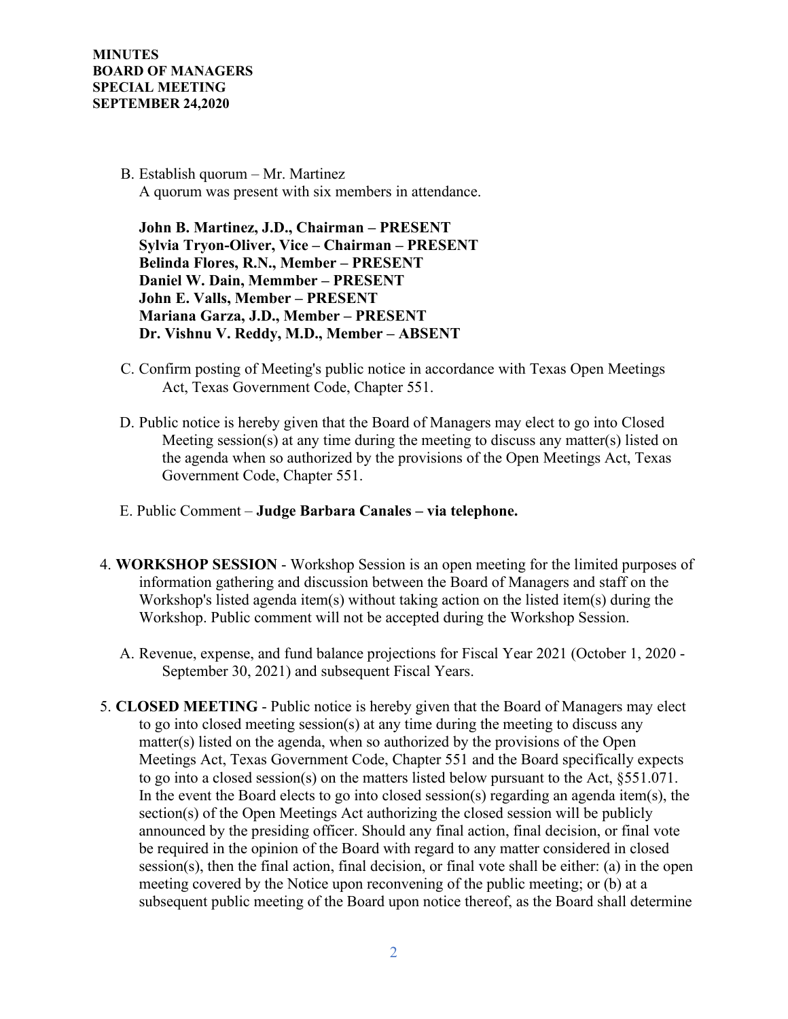> B. Establish quorum – Mr. Martinez A quorum was present with six members in attendance.

 **John B. Martinez, J.D., Chairman – PRESENT Sylvia Tryon-Oliver, Vice – Chairman – PRESENT Belinda Flores, R.N., Member – PRESENT Daniel W. Dain, Memmber – PRESENT John E. Valls, Member – PRESENT Mariana Garza, J.D., Member – PRESENT Dr. Vishnu V. Reddy, M.D., Member – ABSENT** 

- C. Confirm posting of Meeting's public notice in accordance with Texas Open Meetings Act, Texas Government Code, Chapter 551.
- D. Public notice is hereby given that the Board of Managers may elect to go into Closed Meeting session(s) at any time during the meeting to discuss any matter(s) listed on the agenda when so authorized by the provisions of the Open Meetings Act, Texas Government Code, Chapter 551.
- E. Public Comment **Judge Barbara Canales – via telephone.**
- 4. **WORKSHOP SESSION**  Workshop Session is an open meeting for the limited purposes of information gathering and discussion between the Board of Managers and staff on the Workshop's listed agenda item(s) without taking action on the listed item(s) during the Workshop. Public comment will not be accepted during the Workshop Session.
	- A. Revenue, expense, and fund balance projections for Fiscal Year 2021 (October 1, 2020 September 30, 2021) and subsequent Fiscal Years.
- 5. **CLOSED MEETING** Public notice is hereby given that the Board of Managers may elect to go into closed meeting session(s) at any time during the meeting to discuss any matter(s) listed on the agenda, when so authorized by the provisions of the Open Meetings Act, Texas Government Code, Chapter 551 and the Board specifically expects to go into a closed session(s) on the matters listed below pursuant to the Act, §551.071. In the event the Board elects to go into closed session(s) regarding an agenda item(s), the section(s) of the Open Meetings Act authorizing the closed session will be publicly announced by the presiding officer. Should any final action, final decision, or final vote be required in the opinion of the Board with regard to any matter considered in closed session(s), then the final action, final decision, or final vote shall be either: (a) in the open meeting covered by the Notice upon reconvening of the public meeting; or (b) at a subsequent public meeting of the Board upon notice thereof, as the Board shall determine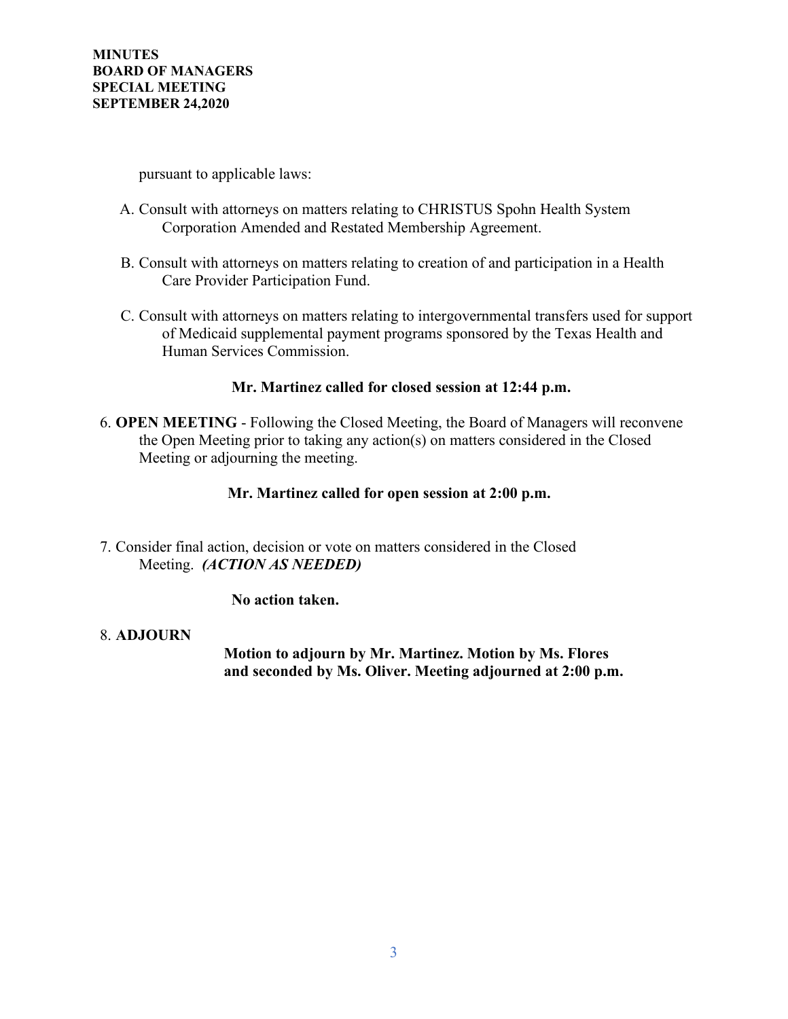pursuant to applicable laws:

- A. Consult with attorneys on matters relating to CHRISTUS Spohn Health System Corporation Amended and Restated Membership Agreement.
- B. Consult with attorneys on matters relating to creation of and participation in a Health Care Provider Participation Fund.
- C. Consult with attorneys on matters relating to intergovernmental transfers used for support of Medicaid supplemental payment programs sponsored by the Texas Health and Human Services Commission.

## **Mr. Martinez called for closed session at 12:44 p.m.**

6. **OPEN MEETING** - Following the Closed Meeting, the Board of Managers will reconvene the Open Meeting prior to taking any action(s) on matters considered in the Closed Meeting or adjourning the meeting.

#### **Mr. Martinez called for open session at 2:00 p.m.**

7. Consider final action, decision or vote on matters considered in the Closed Meeting. *(ACTION AS NEEDED)*

#### **No action taken.**

#### 8. **ADJOURN**

 **Motion to adjourn by Mr. Martinez. Motion by Ms. Flores and seconded by Ms. Oliver. Meeting adjourned at 2:00 p.m.**